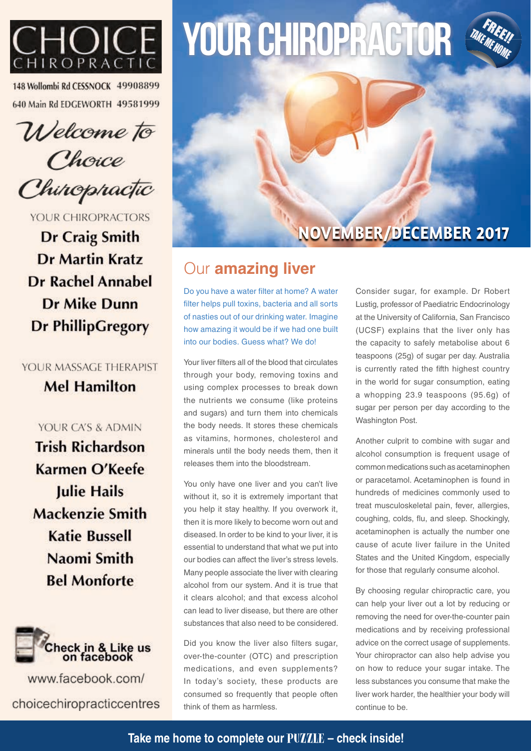

148 Wollombi Rd CESSNOCK 49908899 640 Main Rd EDGEWORTH 49581999

Welcome to Choice Chinophactic

YOUR CHIROPRACTORS

**Dr Craig Smith** Dr Martin Kratz **Dr Rachel Annabel Dr Mike Dunn Dr PhillipGregory** 

YOUR MASSAGE THERAPIST **Mel Hamilton** 

YOUR CA'S & ADMIN **Trish Richardson** Karmen O'Keefe **Julie Hails Mackenzie Smith Katie Bussell** Naomi Smith **Bel Monforte** 



www.facebook.com/ choicechiropracticcentres

# YOUR CHIROPRACTOR



# **NOVEMBER/DECEMBER 2017**

#### Our **amazing liver**

Do you have a water filter at home? A water filter helps pull toxins, bacteria and all sorts of nasties out of our drinking water. Imagine how amazing it would be if we had one built into our bodies. Guess what? We do!

Your liver filters all of the blood that circulates through your body, removing toxins and using complex processes to break down the nutrients we consume (like proteins and sugars) and turn them into chemicals the body needs. It stores these chemicals as vitamins, hormones, cholesterol and minerals until the body needs them, then it releases them into the bloodstream.

You only have one liver and you can't live without it, so it is extremely important that you help it stay healthy. If you overwork it, then it is more likely to become worn out and diseased. In order to be kind to your liver, it is essential to understand that what we put into our bodies can affect the liver's stress levels. Many people associate the liver with clearing alcohol from our system. And it is true that it clears alcohol; and that excess alcohol can lead to liver disease, but there are other substances that also need to be considered.

Did you know the liver also filters sugar, over-the-counter (OTC) and prescription medications, and even supplements? In today's society, these products are consumed so frequently that people often think of them as harmless.

Consider sugar, for example. Dr Robert Lustig, professor of Paediatric Endocrinology at the University of California, San Francisco (UCSF) explains that the liver only has the capacity to safely metabolise about 6 teaspoons (25g) of sugar per day. Australia is currently rated the fifth highest country in the world for sugar consumption, eating a whopping 23.9 teaspoons (95.6g) of sugar per person per day according to the Washington Post.

Another culprit to combine with sugar and alcohol consumption is frequent usage of common medications such as acetaminophen or paracetamol. Acetaminophen is found in hundreds of medicines commonly used to treat musculoskeletal pain, fever, allergies, coughing, colds, flu, and sleep. Shockingly, acetaminophen is actually the number one cause of acute liver failure in the United States and the United Kingdom, especially for those that regularly consume alcohol.

By choosing regular chiropractic care, you can help your liver out a lot by reducing or removing the need for over-the-counter pain medications and by receiving professional advice on the correct usage of supplements. Your chiropractor can also help advise you on how to reduce your sugar intake. The less substances you consume that make the liver work harder, the healthier your body will continue to be.

**Take me home to complete our PUZZLE – check inside!**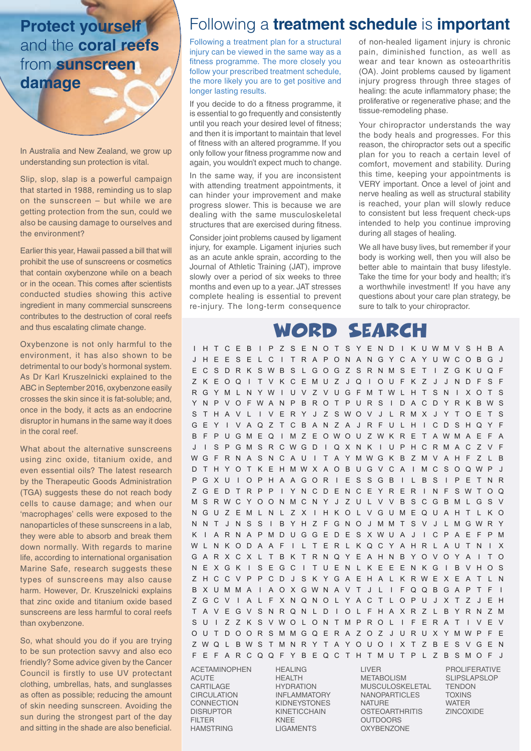## **Protect yourself**  and the **coral reefs**  from **sunscreen damage**

In Australia and New Zealand, we grow up understanding sun protection is vital.

Slip, slop, slap is a powerful campaign that started in 1988, reminding us to slap on the sunscreen – but while we are getting protection from the sun, could we also be causing damage to ourselves and the environment?

Earlier this year, Hawaii passed a bill that will prohibit the use of sunscreens or cosmetics that contain oxybenzone while on a beach or in the ocean. This comes after scientists conducted studies showing this active ingredient in many commercial sunscreens contributes to the destruction of coral reefs and thus escalating climate change.

Oxybenzone is not only harmful to the environment, it has also shown to be detrimental to our body's hormonal system. As Dr Karl Kruszelnicki explained to the ABC in September 2016, oxybenzone easily crosses the skin since it is fat-soluble; and, once in the body, it acts as an endocrine disruptor in humans in the same way it does in the coral reef.

What about the alternative sunscreens using zinc oxide, titanium oxide, and even essential oils? The latest research by the Therapeutic Goods Administration (TGA) suggests these do not reach body cells to cause damage; and when our 'macrophages' cells were exposed to the nanoparticles of these sunscreens in a lab, they were able to absorb and break them down normally. With regards to marine life, according to international organisation Marine Safe, research suggests these types of sunscreens may also cause harm. However, Dr. Kruszelnicki explains that zinc oxide and titanium oxide based sunscreens are less harmful to coral reefs than oxybenzone.

So, what should you do if you are trying to be sun protection savvy and also eco friendly? Some advice given by the Cancer Council is firstly to use UV protectant clothing, umbrellas, hats, and sunglasses as often as possible; reducing the amount of skin needing sunscreen. Avoiding the sun during the strongest part of the day and sitting in the shade are also beneficial.

## Following a **treatment schedule** is **important**

Following a treatment plan for a structural injury can be viewed in the same way as a fitness programme. The more closely you follow your prescribed treatment schedule, the more likely you are to get positive and longer lasting results.

If you decide to do a fitness programme, it is essential to go frequently and consistently until you reach your desired level of fitness; and then it is important to maintain that level of fitness with an altered programme. If you only follow your fitness programme now and again, you wouldn't expect much to change.

In the same way, if you are inconsistent with attending treatment appointments, it can hinder your improvement and make progress slower. This is because we are dealing with the same musculoskeletal structures that are exercised during fitness.

Consider joint problems caused by ligament injury, for example. Ligament injuries such as an acute ankle sprain, according to the Journal of Athletic Training (JAT), improve slowly over a period of six weeks to three months and even up to a year. JAT stresses complete healing is essential to prevent re-injury. The long-term consequence

of non-healed ligament injury is chronic pain, diminished function, as well as wear and tear known as osteoarthritis (OA). Joint problems caused by ligament injury progress through three stages of healing: the acute inflammatory phase; the proliferative or regenerative phase; and the tissue-remodeling phase.

Your chiropractor understands the way the body heals and progresses. For this reason, the chiropractor sets out a specific plan for you to reach a certain level of comfort, movement and stability. During this time, keeping your appointments is VERY important. Once a level of joint and nerve healing as well as structural stability is reached, your plan will slowly reduce to consistent but less frequent check-ups intended to help you continue improving during all stages of healing.

We all have busy lives, but remember if your body is working well, then you will also be better able to maintain that busy lifestyle. Take the time for your body and health; it's a worthwhile investment! If you have any questions about your care plan strategy, be sure to talk to your chiropractor.

## **WORD SEARCH**

I H T C E B I P Z S E N O T S Y E N D I K UWM V S H B A J H E E S E L C I T R A PON A NGY C A Y UWCOBG J ECSDRK SWB S L GOGZ SRNMS E T I ZGKUQF Z KEOQ I T VKCEMUZ J Q I OUF K Z J J NDF S F RGYML NYW I UV Z VUGFMTWL H T SN I XOT S YNP VOFWANP BROT PURS I DACDYRK BWS S T H A V L I V E R Y J Z SWO V J L RMX J Y T O E T S GEY I VAQZ TCBANZA J RFULH I CDSHQYF B F P U GM E Q I M Z E OWO U ZWK R E T AWM A E F A J I S P GMS R CWGD I Q X N K I U P H C RMA C Z V F WG F R N A S N C A U I T A YMWG K B Z M V A H F Z L B D T H Y O T K E HMWX A O B U G V C A I MC S OQWP J PGXU I OPHAAGOR I ESSGB I L BS I PE TNR ZGED T RP P I YNCDENCE YRER I N F SWTOQ MS RWC YOONMCN Y J Z U L V V B S CGBM L GS V NGUZ EML N L Z X I HKOL VGUMEQUAHT L KO N N T J N S S I B Y H Z F GNO J MM T S V J L MGWR Y K I A RN A PMDUGGE D E S XWU A J I C P A E F PM WLNKODAAF I L TERL KQCYAHRL AUTN I X GARXCX L TBKTRNQYEAHNBYOVOYA I TO NEXGK I SEGC I TUENL KEEENKG I BVHOS Z HCC V P P CD J S K YGA E H A L K RWE X E A T L N B X UMMA I A O X GWN A V T J L I F QQ B G A P T F I ZGCV I A L FXNQNOL YACT LOPU J XT Z J EH TAVEGVSNRQNLD I OL FHAXRZ L BYRNZM S U I Z Z K S VWO L ON T MP RO L I F E R A T I V E V O U T D OO R SMMGQ E R A Z O Z J U R U X YMWP F E ZWQ L BWS T MN R Y T A Y OUO I X T Z B E S V G E N F E F ARCQQF Y B EQC T H TMU T P L Z B SMOF J ACETAMINOPHEN ACUTE CARTILAGE HEALING HEALTH HYDRATION LIVER METABOLISM MUSCULOSKELETAL PROLIFERATIVE SLIPSLAPSLOP **TENDON** 

CIRCULATION **CONNECTION** DISRUPTOR **FILTER** HAMSTRING

INFLAMMATORY KIDNEYSTONES KINETICCHAIN KNEE LIGAMENTS

NANOPARTICLES **NATURE OSTEOARTHRITIS** OUTDOORS **OXYBENZONE** 

**TOXINS** WATER ZINCOXIDE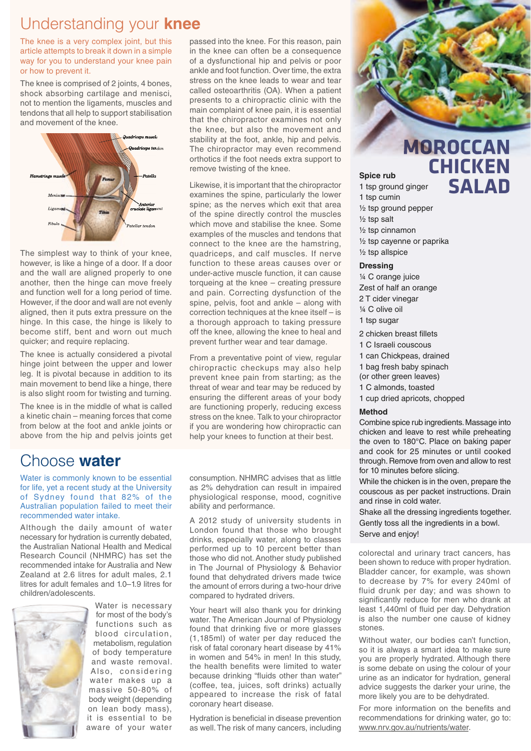## Understanding your **knee**

The knee is a very complex joint, but this article attempts to break it down in a simple way for you to understand your knee pain or how to prevent it.

The knee is comprised of 2 joints, 4 bones, shock absorbing cartilage and menisci, not to mention the ligaments, muscles and tendons that all help to support stabilisation and movement of the knee.



The simplest way to think of your knee, however, is like a hinge of a door. If a door and the wall are aligned properly to one another, then the hinge can move freely and function well for a long period of time. However, if the door and wall are not evenly aligned, then it puts extra pressure on the hinge. In this case, the hinge is likely to become stiff, bent and worn out much quicker; and require replacing.

The knee is actually considered a pivotal hinge joint between the upper and lower leg. It is pivotal because in addition to its main movement to bend like a hinge, there is also slight room for twisting and turning.

The knee is in the middle of what is called a kinetic chain – meaning forces that come from below at the foot and ankle joints or above from the hip and pelvis joints get

#### Choose **water**

Water is commonly known to be essential for life, yet a recent study at the University of Sydney found that 82% of the Australian population failed to meet their recommended water intake.

Although the daily amount of water necessary for hydration is currently debated, the Australian National Health and Medical Research Council (NHMRC) has set the recommended intake for Australia and New Zealand at 2.6 litres for adult males, 2.1 litres for adult females and 1.0–1.9 litres for children/adolescents.



Water is necessary for most of the body's functions such as blood circulation, metabolism, regulation of body temperature and waste removal. Also, considering water makes up a massive 50-80% of body weight (depending on lean body mass), it is essential to be aware of your water

passed into the knee. For this reason, pain in the knee can often be a consequence of a dysfunctional hip and pelvis or poor ankle and foot function. Over time, the extra stress on the knee leads to wear and tear called osteoarthritis (OA). When a patient presents to a chiropractic clinic with the main complaint of knee pain, it is essential that the chiropractor examines not only the knee, but also the movement and stability at the foot, ankle, hip and pelvis. The chiropractor may even recommend orthotics if the foot needs extra support to remove twisting of the knee.

Likewise, it is important that the chiropractor examines the spine, particularly the lower spine; as the nerves which exit that area of the spine directly control the muscles which move and stabilise the knee. Some examples of the muscles and tendons that connect to the knee are the hamstring, quadriceps, and calf muscles. If nerve function to these areas causes over or under-active muscle function, it can cause torqueing at the knee – creating pressure and pain. Correcting dysfunction of the spine, pelvis, foot and ankle – along with correction techniques at the knee itself – is a thorough approach to taking pressure off the knee, allowing the knee to heal and prevent further wear and tear damage.

From a preventative point of view, regular chiropractic checkups may also help prevent knee pain from starting; as the threat of wear and tear may be reduced by ensuring the different areas of your body are functioning properly, reducing excess stress on the knee. Talk to your chiropractor if you are wondering how chiropractic can help your knees to function at their best.

consumption. NHMRC advises that as little as 2% dehydration can result in impaired physiological response, mood, cognitive ability and performance.

A 2012 study of university students in London found that those who brought drinks, especially water, along to classes performed up to 10 percent better than those who did not. Another study published in The Journal of Physiology & Behavior found that dehydrated drivers made twice the amount of errors during a two-hour drive compared to hydrated drivers.

Your heart will also thank you for drinking water. The American Journal of Physiology found that drinking five or more glasses (1,185ml) of water per day reduced the risk of fatal coronary heart disease by 41% in women and 54% in men! In this study, the health benefits were limited to water because drinking "fluids other than water" (coffee, tea, juices, soft drinks) actually appeared to increase the risk of fatal coronary heart disease.

Hydration is beneficial in disease prevention as well. The risk of many cancers, including

# **MOROCCAN CHICKEN SALAD**

1 tsp ground ginger 1 tsp cumin ½ tsp ground pepper ½ tsp salt ½ tsp cinnamon ½ tsp cayenne or paprika ½ tsp allspice

#### **Dressing**

**Spice rub**

- ¼ C orange juice Zest of half an orange 2 T cider vinegar ¼ C olive oil 1 tsp sugar
- 2 chicken breast fillets
- 1 C Israeli couscous
- 1 can Chickpeas, drained
- 1 bag fresh baby spinach
- (or other green leaves)
- 1 C almonds, toasted
- 1 cup dried apricots, chopped

#### **Method**

Combine spice rub ingredients. Massage into chicken and leave to rest while preheating the oven to 180°C. Place on baking paper and cook for 25 minutes or until cooked through. Remove from oven and allow to rest for 10 minutes before slicing.

While the chicken is in the oven, prepare the couscous as per packet instructions. Drain and rinse in cold water.

Shake all the dressing ingredients together. Gently toss all the ingredients in a bowl. Serve and enjoy!

colorectal and urinary tract cancers, has been shown to reduce with proper hydration. Bladder cancer, for example, was shown to decrease by 7% for every 240ml of fluid drunk per day; and was shown to significantly reduce for men who drank at least 1,440ml of fluid per day. Dehydration is also the number one cause of kidney stones.

Without water, our bodies can't function, so it is always a smart idea to make sure you are properly hydrated. Although there is some debate on using the colour of your urine as an indicator for hydration, general advice suggests the darker your urine, the more likely you are to be dehydrated.

For more information on the benefits and recommendations for drinking water, go to: www.nrv.gov.au/nutrients/water.